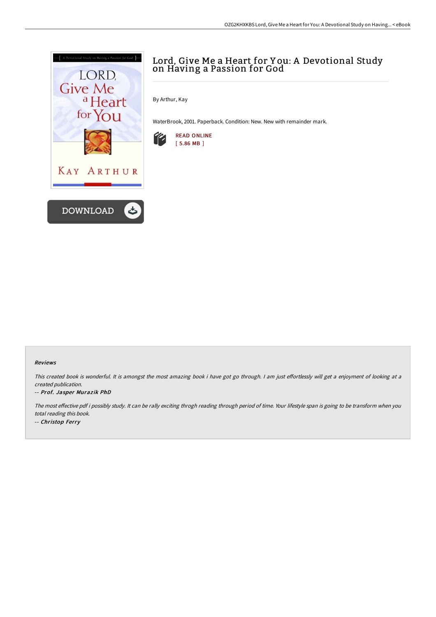

# Lord, Give Me a Heart for Y ou: A Devotional Study on Having a Passion for God

By Arthur, Kay

WaterBrook, 2001. Paperback. Condition: New. New with remainder mark.



### Reviews

This created book is wonderful. It is amongst the most amazing book i have got go through. I am just effortlessly will get a enjoyment of looking at a created publication.

### -- Prof. Jasper Muraz ik PhD

The most effective pdf i possibly study. It can be rally exciting throgh reading through period of time. Your lifestyle span is going to be transform when you total reading this book. -- Christop Ferry